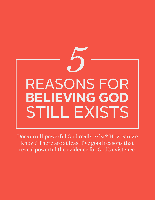

Does an all-powerful God really exist? How can we know? There are at least five good reasons that reveal powerful the evidence for God's existence.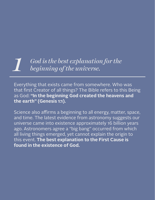## *1 God is the best explanation for the beginning of the universe.*

Everything that exists came from somewhere. Who was that first Creator of all things? The Bible refers to this Being as God: **"In the beginning God created the heavens and the earth" (Genesis 1:1).**

Science also affirms a beginning to all energy, matter, space, and time. The latest evidence from astronomy suggests our universe came into existence approximately 16 billion years ago. Astronomers agree a "big bang" occurred from which all living things emerged, yet cannot explain the origin to this event. **The best explanation to the First Cause is found in the existence of God.**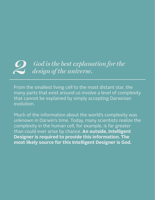# *2 God is the best explanation for the design of the universe.*

From the smallest living cell to the most distant star, the many parts that exist around us involve a level of complexity that cannot be explained by simply accepting Darwinian evolution.

Much of the information about the world's complexity was unknown in Darwin's time. Today, many scientists realize the complexity in the human cell, for example, is far greater than could ever arise by chance. **An outside, Intelligent Designer is required to provide this information. The most likely source for this Intelligent Designer is God.**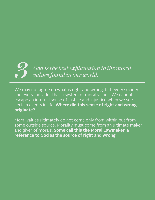# *3 God is the best explanation to the moral values found in our world.*

We may not agree on what is right and wrong, but every society and every individual has a system of moral values. We cannot escape an internal sense of justice and injustice when we see certain events in life. **Where did this sense of right and wrong originate?**

Moral values ultimately do not come only from within but from some outside source. Morality must come from an ultimate maker and giver of morals. **Some call this the Moral Lawmaker, a reference to God as the source of right and wrong.**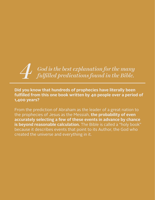# *4 God is the best explanation for the many fulfilled predications found in the Bible.*

#### **Did you know that hundreds of prophecies have literally been**  fulfilled from this one book written by 40 people over a period of **1,400 years?**

From the prediction of Abraham as the leader of a great nation to the prophecies of Jesus as the Messiah, **the probability of even accurately selecting a few of these events in advance by chance**  is beyond reasonable calculation. The Bible is called a "holy book" because it describes events that point to its Author, the God who created the universe and everything in it.